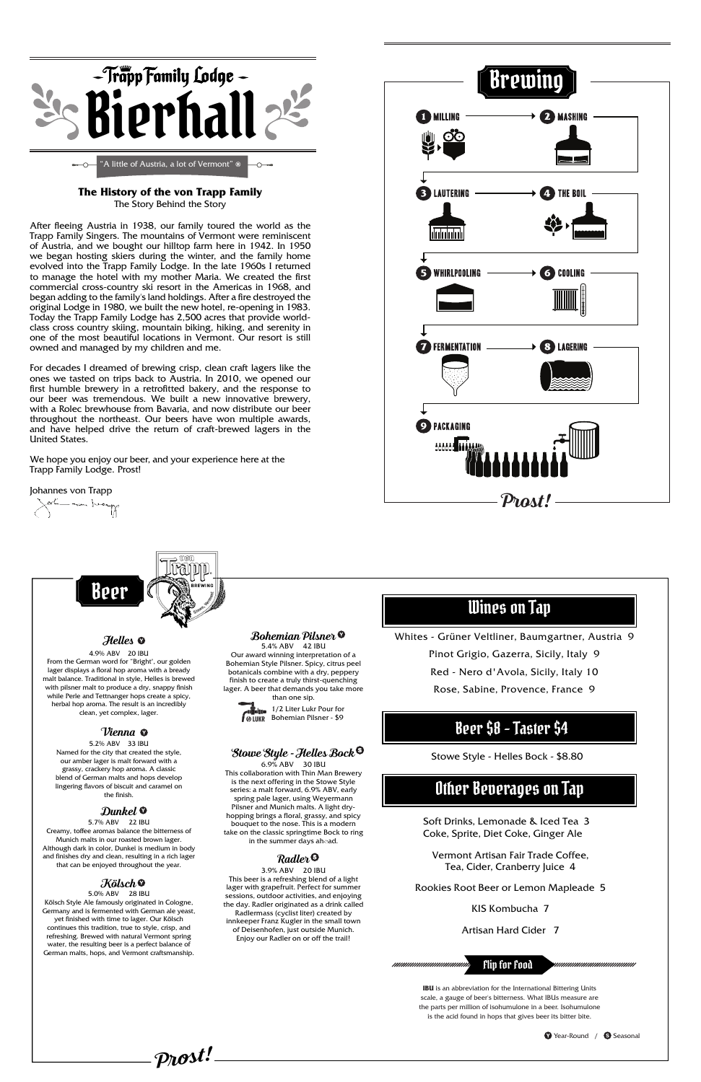**Prost!**

nnnnnnnnnnnnnnn Flip for Food *uuuuuuuuuuuuuuuuu* 

Soft Drinks, Lemonade & Iced Tea 3 Coke, Sprite, Diet Coke, Ginger Ale

Vermont Artisan Fair Trade Coffee, Tea, Cider, Cranberry Juice 4

#### Rookies Root Beer or Lemon Mapleade 5

KIS Kombucha 7

Artisan Hard Cider 7



#### **The History of the von Trapp Family** The Story Behind the Story

After fleeing Austria in 1938, our family toured the world as the Trapp Family Singers. The mountains of Vermont were reminiscent of Austria, and we bought our hilltop farm here in 1942. In 1950 we began hosting skiers during the winter, and the family home evolved into the Trapp Family Lodge. In the late 1960s I returned to manage the hotel with my mother Maria. We created the first commercial cross-country ski resort in the Americas in 1968, and began adding to the family's land holdings. After a fire destroyed the original Lodge in 1980, we built the new hotel, re-opening in 1983. Today the Trapp Family Lodge has 2,500 acres that provide worldclass cross country skiing, mountain biking, hiking, and serenity in one of the most beautiful locations in Vermont. Our resort is still owned and managed by my children and me.

yester main lucay Beer Wines on Tap Whites - Grüner Veltliner, Baumgartner, Austria 9 **Bohemian Pilsner Helles** 5.4% ABV 42 IBU 4.9% ABV 20 IBU Our award winning interpretation of a Pinot Grigio, Gazerra, Sicily, Italy 9 Bohemian Style Pilsner. Spicy, citrus peel From the German word for "Bright", our golden lager displays a floral hop aroma with a bready botanicals combine with a dry, peppery Red - Nero d'Avola, Sicily, Italy 10 malt balance. Traditional in style, Helles is brewed finish to create a truly thirst-quenching with pilsner malt to produce a dry, snappy finish Rose, Sabine, Provence, France 9 lager. A beer that demands you take more while Perle and Tettnanger hops create a spicy, than one sip. herbal hop aroma. The result is an incredibly 1/2 Liter Lukr Pour for clean, yet complex, lager.  $\sqrt{\theta}$  LUKR Bohemian Pilsner - \$9 Beer \$8 - Taster \$4 **Vienna** 5.2% ABV 33 IBU **Stowe Style - Helles Bock** Named for the city that created the style, Stowe Style - Helles Bock - \$8.80our amber lager is malt forward with a 6.9% ABV 30 IBU grassy, crackery hop aroma. A classic This collaboration with Thin Man Brewery blend of German malts and hops develop is the next offering in the Stowe Style Other Beverages on Tap lingering flavors of biscuit and caramel on series: a malt forward, 6.9% ABV, early the finish.

For decades I dreamed of brewing crisp, clean craft lagers like the ones we tasted on trips back to Austria. In 2010, we opened our first humble brewery in a retrofitted bakery, and the response to our beer was tremendous. We built a new innovative brewery, with a Rolec brewhouse from Bavaria, and now distribute our beer throughout the northeast. Our beers have won multiple awards, and have helped drive the return of craft-brewed lagers in the United States.

We hope you enjoy our beer, and your experience here at the Trapp Family Lodge. Prost!

Johannes von Trapp



#### **Dunkel**

5.7% ABV 22 IBU Creamy, toffee aromas balance the bitterness of Munich malts in our roasted brown lager. Although dark in color, Dunkel is medium in body and finishes dry and clean, resulting in a rich lager that can be enjoyed throughout the year.

#### **Kölsch**

5.0% ABV 28 IBU Kölsch Style Ale famously originated in Cologne, Germany and is fermented with German ale yeast, yet finished with time to lager. Our Kölsch continues this tradition, true to style, crisp, and refreshing. Brewed with natural Vermont spring water, the resulting beer is a perfect balance of German malts, hops, and Vermont craftsmanship.

> **IBU** is an abbreviation for the International Bittering Units scale, a gauge of beer's bitterness. What IBUs measure are the parts per million of isohumulone in a beer. Isohumulone is the acid found in hops that gives beer its bitter bite.

> > Year-Round / Seasonal

spring pale lager, using Weyermann Pilsner and Munich malts. A light dryhopping brings a floral, grassy, and spicy bouquet to the nose. This is a modern take on the classic springtime Bock to ring in the summer days ahead.

### **Radler**

3.9% ABV 20 IBU This beer is a refreshing blend of a light lager with grapefruit. Perfect for summer sessions, outdoor activities, and enjoying the day. Radler originated as a drink called Radlermass (cyclist liter) created by innkeeper Franz Kugler in the small town of Deisenhofen, just outside Munich. Enjoy our Radler on or off the trail!